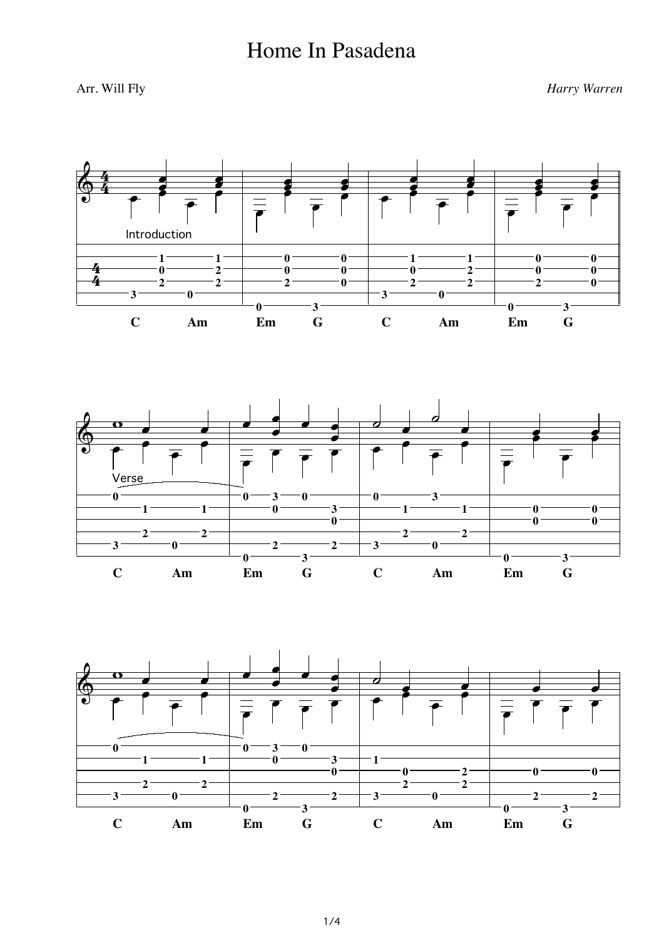## Home In Pasadena

Arr. Will Fly *Harry Warren*

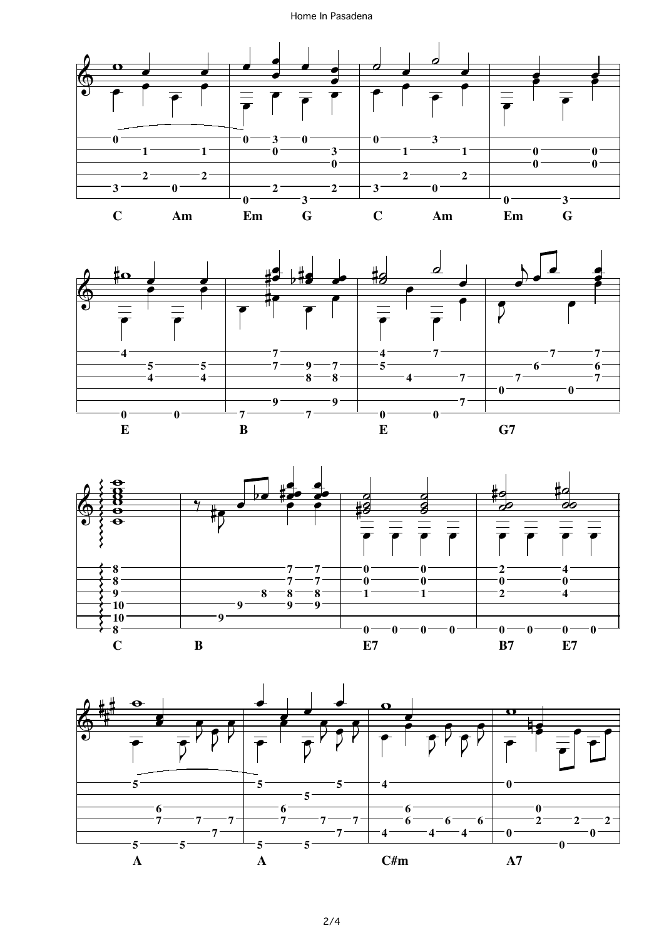## Home In Pasadena







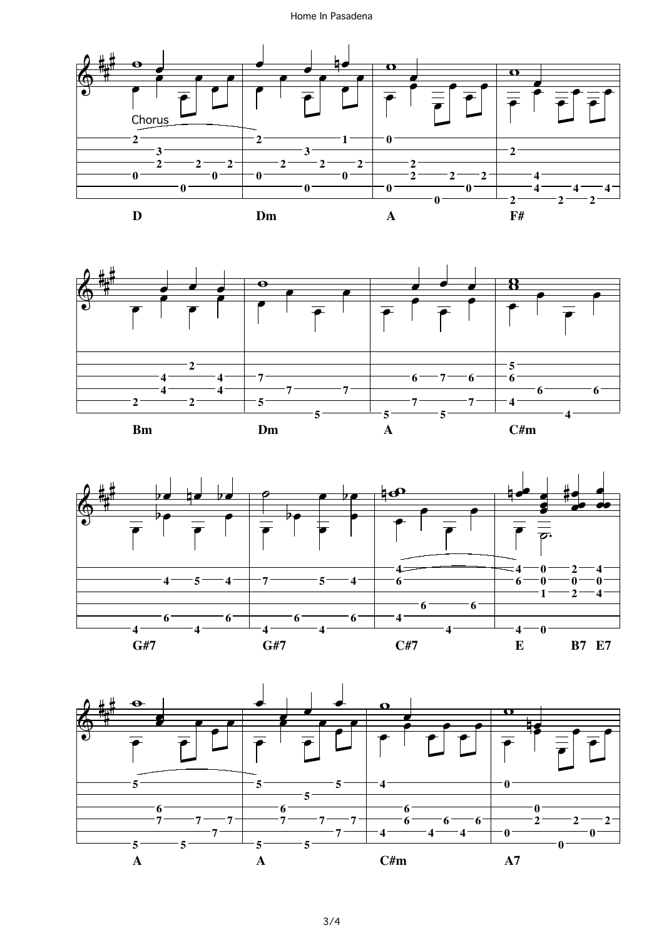